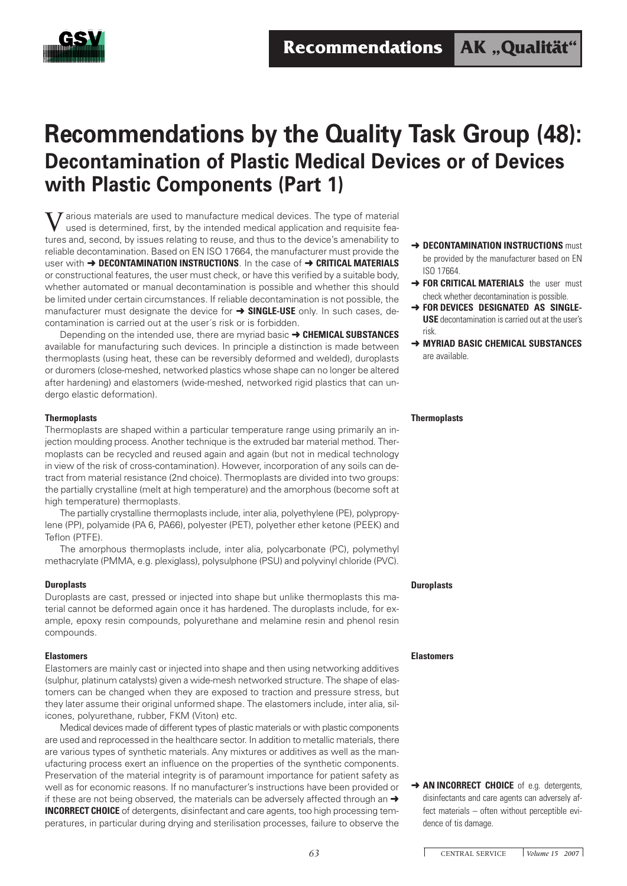

# **Recommendations by the Quality Task Group (48): Decontamination of Plastic Medical Devices or of Devices with Plastic Components (Part 1)**

 $\overline{I}$  arious materials are used to manufacture medical devices. The type of material used is determined, first, by the intended medical application and requisite features and, second, by issues relating to reuse, and thus to the device's amenability to reliable decontamination. Based on EN ISO 17664, the manufacturer must provide the user with ➜ **DECONTAMINATION INSTRUCTIONS**. In the case of ➜ **CRITICAL MATERIALS** or constructional features, the user must check, or have this verified by a suitable body, whether automated or manual decontamination is possible and whether this should be limited under certain circumstances. If reliable decontamination is not possible, the manufacturer must designate the device for ➜ **SINGLE-USE** only. In such cases, decontamination is carried out at the user´s risk or is forbidden.

Depending on the intended use, there are myriad basic ➜ **CHEMICAL SUBSTANCES** available for manufacturing such devices. In principle a distinction is made between thermoplasts (using heat, these can be reversibly deformed and welded), duroplasts or duromers (close-meshed, networked plastics whose shape can no longer be altered after hardening) and elastomers (wide-meshed, networked rigid plastics that can undergo elastic deformation).

# **Thermoplasts**

Thermoplasts are shaped within a particular temperature range using primarily an injection moulding process. Another technique is the extruded bar material method. Thermoplasts can be recycled and reused again and again (but not in medical technology in view of the risk of cross-contamination). However, incorporation of any soils can detract from material resistance (2nd choice). Thermoplasts are divided into two groups: the partially crystalline (melt at high temperature) and the amorphous (become soft at high temperature) thermoplasts.

The partially crystalline thermoplasts include, inter alia, polyethylene (PE), polypropylene (PP), polyamide (PA 6, PA66), polyester (PET), polyether ether ketone (PEEK) and Teflon (PTFE).

The amorphous thermoplasts include, inter alia, polycarbonate (PC), polymethyl methacrylate (PMMA, e.g. plexiglass), polysulphone (PSU) and polyvinyl chloride (PVC).

## **Duroplasts**

Duroplasts are cast, pressed or injected into shape but unlike thermoplasts this material cannot be deformed again once it has hardened. The duroplasts include, for example, epoxy resin compounds, polyurethane and melamine resin and phenol resin compounds.

# **Elastomers**

Elastomers are mainly cast or injected into shape and then using networking additives (sulphur, platinum catalysts) given a wide-mesh networked structure. The shape of elastomers can be changed when they are exposed to traction and pressure stress, but they later assume their original unformed shape. The elastomers include, inter alia, silicones, polyurethane, rubber, FKM (Viton) etc.

Medical devices made of different types of plastic materials or with plastic components are used and reprocessed in the healthcare sector. In addition to metallic materials, there are various types of synthetic materials. Any mixtures or additives as well as the manufacturing process exert an influence on the properties of the synthetic components. Preservation of the material integrity is of paramount importance for patient safety as well as for economic reasons. If no manufacturer's instructions have been provided or if these are not being observed, the materials can be adversely affected through an  $\rightarrow$ **INCORRECT CHOICE** of detergents, disinfectant and care agents, too high processing temperatures, in particular during drying and sterilisation processes, failure to observe the

- **→ DECONTAMINATION INSTRUCTIONS** must be provided by the manufacturer based on EN ISO 17664.
- **→ FOR CRITICAL MATERIALS** the user must check whether decontamination is possible.
- **→ FOR DEVICES DESIGNATED AS SINGLE-USE** decontamination is carried out at the user's risk.
- ➜ **MYRIAD BASIC CHEMICAL SUBSTANCES** are available.

#### **Thermoplasts**

## **Duroplasts**

## **Elastomers**

**→ AN INCORRECT CHOICE** of e.g. detergents, disinfectants and care agents can adversely affect materials – often without perceptible evidence of tis damage.